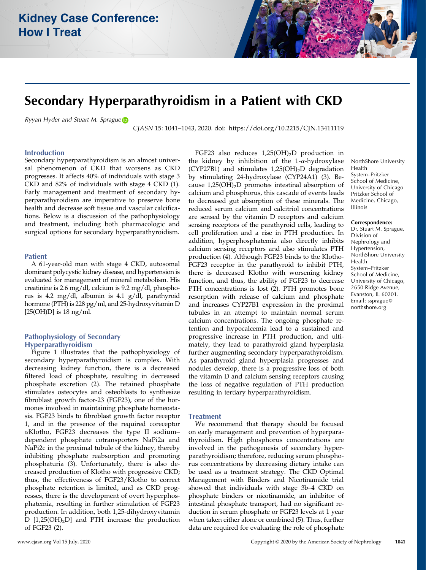# Secondary Hyperparathyroidism in a Patient with CKD

Ryyan Hyder and Stuart M. Spragu[e](https://orcid.org/0000-0002-3330-0179)

CJASN 15: 1041–1043, 2020. doi:<https://doi.org/10.2215/CJN.13411119>

# Introduction

Secondary hyperparathyroidism is an almost universal phenomenon of CKD that worsens as CKD progresses. It affects 40% of individuals with stage 3 CKD and 82% of individuals with stage 4 CKD (1). Early management and treatment of secondary hyperparathyroidism are imperative to preserve bone health and decrease soft tissue and vascular calcifications. Below is a discussion of the pathophysiology and treatment, including both pharmacologic and surgical options for secondary hyperparathyroidism.

### Patient

A 61-year-old man with stage 4 CKD, autosomal dominant polycystic kidney disease, and hypertension is evaluated for management of mineral metabolism. His creatinine is 2.6 mg/dl, calcium is 9.2 mg/dl, phosphorus is 4.2 mg/dl, albumin is 4.1 g/dl, parathyroid hormone (PTH) is 228 pg/ml, and 25-hydroxyvitamin D [25(OH)D] is 18 ng/ml.

# Pathophysiology of Secondary Hyperparathyroidism

Figure 1 illustrates that the pathophysiology of secondary hyperparathyroidism is complex. With decreasing kidney function, there is a decreased filtered load of phosphate, resulting in decreased phosphate excretion (2). The retained phosphate stimulates osteocytes and osteoblasts to synthesize fibroblast growth factor-23 (FGF23), one of the hormones involved in maintaining phosphate homeostasis. FGF23 binds to fibroblast growth factor receptor 1, and in the presence of the required coreceptor  $\alpha$ Klotho, FGF23 decreases the type II sodiumdependent phosphate cotransporters NaPi2a and NaPi2c in the proximal tubule of the kidney, thereby inhibiting phosphate reabsorption and promoting phosphaturia (3). Unfortunately, there is also decreased production of Klotho with progressive CKD; thus, the effectiveness of FGF23/Klotho to correct phosphate retention is limited, and as CKD progresses, there is the development of overt hyperphosphatemia, resulting in further stimulation of FGF23 production. In addition, both 1,25-dihydroxyvitamin D  $[1,25(OH)<sub>2</sub>D]$  and PTH increase the production of FGF23 (2).

FGF23 also reduces 1,25(OH)<sub>2</sub>D production in the kidney by inhibition of the  $1-\alpha$ -hydroxylase  $(CYP27B1)$  and stimulates  $1,25(OH)_{2}D$  degradation by stimulating 24-hydroxylase (CYP24A1) (3). Because  $1,25(OH)<sub>2</sub>D$  promotes intestinal absorption of calcium and phosphorus, this cascade of events leads to decreased gut absorption of these minerals. The reduced serum calcium and calcitriol concentrations are sensed by the vitamin D receptors and calcium sensing receptors of the parathyroid cells, leading to cell proliferation and a rise in PTH production. In addition, hyperphosphatemia also directly inhibits calcium sensing receptors and also stimulates PTH production (4). Although FGF23 binds to the Klotho-FGF23 receptor in the parathyroid to inhibit PTH, there is decreased Klotho with worsening kidney function, and thus, the ability of FGF23 to decrease PTH concentrations is lost (2). PTH promotes bone resorption with release of calcium and phosphate and increases CYP27B1 expression in the proximal tubules in an attempt to maintain normal serum calcium concentrations. The ongoing phosphate retention and hypocalcemia lead to a sustained and progressive increase in PTH production, and ultimately, they lead to parathyroid gland hyperplasia further augmenting secondary hyperparathyroidism. As parathyroid gland hyperplasia progresses and nodules develop, there is a progressive loss of both the vitamin D and calcium sensing receptors causing the loss of negative regulation of PTH production resulting in tertiary hyperparathyroidism.

## **Treatment**

We recommend that therapy should be focused on early management and prevention of hyperparathyroidism. High phosphorus concentrations are involved in the pathogenesis of secondary hyperparathyroidism; therefore, reducing serum phosphorus concentrations by decreasing dietary intake can be used as a treatment strategy. The CKD Optimal Management with Binders and Nicotinamide trial showed that individuals with stage 3b–4 CKD on phosphate binders or nicotinamide, an inhibitor of intestinal phosphate transport, had no significant reduction in serum phosphate or FGF23 levels at 1 year when taken either alone or combined (5). Thus, further data are required for evaluating the role of phosphate

NorthShore University Health System–Pritzker School of Medicine, University of Chicago Pritzker School of Medicine, Chicago, Illinois

#### Correspondence:

Dr. Stuart M. Sprague, Division of Nephrology and Hypertension, NorthShore University Health System–Pritzker School of Medicine, University of Chicago, 2650 Ridge Avenue, Evanston, IL 60201. Email: [ssprague@](mailto:ssprague@northshore.org) [northshore.org](mailto:ssprague@northshore.org)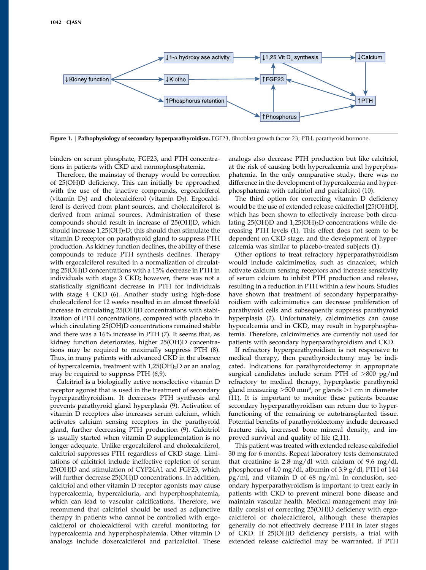

Figure 1. | Pathophysiology of secondary hyperparathyroidism. FGF23, fibroblast growth factor-23; PTH, parathyroid hormone.

binders on serum phosphate, FGF23, and PTH concentrations in patients with CKD and normophosphatemia.

Therefore, the mainstay of therapy would be correction of 25(OH)D deficiency. This can initially be approached with the use of the inactive compounds, ergocalciferol (vitamin  $D_2$ ) and cholecalciferol (vitamin  $D_3$ ). Ergocalciferol is derived from plant sources, and cholecalciferol is derived from animal sources. Administration of these compounds should result in increase of 25(OH)D, which should increase  $1,25(OH)_2D$ ; this should then stimulate the vitamin D receptor on parathyroid gland to suppress PTH production. As kidney function declines, the ability of these compounds to reduce PTH synthesis declines. Therapy with ergocalciferol resulted in a normalization of circulating 25(OH)D concentrations with a 13% decrease in PTH in individuals with stage 3 CKD; however, there was not a statistically significant decrease in PTH for individuals with stage 4 CKD (6). Another study using high-dose cholecalciferol for 12 weeks resulted in an almost threefold increase in circulating 25(OH)D concentrations with stabilization of PTH concentrations, compared with placebo in which circulating 25(OH)D concentrations remained stable and there was a 16% increase in PTH (7). It seems that, as kidney function deteriorates, higher 25(OH)D concentrations may be required to maximally suppress PTH (8). Thus, in many patients with advanced CKD in the absence of hypercalcemia, treatment with  $1,25(OH)_2D$  or an analog may be required to suppress PTH (6,9).

Calcitriol is a biologically active nonselective vitamin D receptor agonist that is used in the treatment of secondary hyperparathyroidism. It decreases PTH synthesis and prevents parathyroid gland hyperplasia (9). Activation of vitamin D receptors also increases serum calcium, which activates calcium sensing receptors in the parathyroid gland, further decreasing PTH production (9). Calcitriol is usually started when vitamin D supplementation is no longer adequate. Unlike ergocalciferol and cholecalciferol, calcitriol suppresses PTH regardless of CKD stage. Limitations of calcitriol include ineffective repletion of serum 25(OH)D and stimulation of CYP24A1 and FGF23, which will further decrease 25(OH)D concentrations. In addition, calcitriol and other vitamin D receptor agonists may cause hypercalcemia, hypercalciuria, and hyperphosphatemia, which can lead to vascular calcifications. Therefore, we recommend that calcitriol should be used as adjunctive therapy in patients who cannot be controlled with ergocalciferol or cholecalciferol with careful monitoring for hypercalcemia and hyperphosphatemia. Other vitamin D analogs include doxercalciferol and paricalcitol. These analogs also decrease PTH production but like calcitriol, at the risk of causing both hypercalcemia and hyperphosphatemia. In the only comparative study, there was no difference in the development of hypercalcemia and hyperphosphatemia with calcitriol and paricalcitol (10).

The third option for correcting vitamin D deficiency would be the use of extended release calcifediol [25(OH)D], which has been shown to effectively increase both circulating  $25(OH)D$  and  $1,25(OH)_2D$  concentrations while decreasing PTH levels (1). This effect does not seem to be dependent on CKD stage, and the development of hypercalcemia was similar to placebo-treated subjects (1).

Other options to treat refractory hyperparathyroidism would include calcimimetics, such as cinacalcet, which activate calcium sensing receptors and increase sensitivity of serum calcium to inhibit PTH production and release, resulting in a reduction in PTH within a few hours. Studies have shown that treatment of secondary hyperparathyroidism with calcimimetics can decrease proliferation of parathyroid cells and subsequently suppress parathyroid hyperplasia (2). Unfortunately, calcimimetics can cause hypocalcemia and in CKD, may result in hyperphosphatemia. Therefore, calcimimetics are currently not used for patients with secondary hyperparathyroidism and CKD.

If refractory hyperparathyroidism is not responsive to medical therapy, then parathyroidectomy may be indicated. Indications for parathyroidectomy in appropriate surgical candidates include serum PTH of  $>800$  pg/ml refractory to medical therapy, hyperplastic parathyroid gland measuring  $>500$  mm<sup>3</sup>, or glands  $>1$  cm in diameter (11). It is important to monitor these patients because secondary hyperparathyroidism can return due to hyperfunctioning of the remaining or autotransplanted tissue. Potential benefits of parathyroidectomy include decreased fracture risk, increased bone mineral density, and improved survival and quality of life (2,11).

This patient was treated with extended release calcifediol 30 mg for 6 months. Repeat laboratory tests demonstrated that creatinine is 2.8 mg/dl with calcium of 9.6 mg/dl, phosphorus of 4.0 mg/dl, albumin of 3.9 g/dl, PTH of 144 pg/ml, and vitamin D of 68 ng/ml. In conclusion, secondary hyperparathyroidism is important to treat early in patients with CKD to prevent mineral bone disease and maintain vascular health. Medical management may initially consist of correcting 25(OH)D deficiency with ergocalciferol or cholecalciferol, although these therapies generally do not effectively decrease PTH in later stages of CKD. If 25(OH)D deficiency persists, a trial with extended release calcifediol may be warranted. If PTH